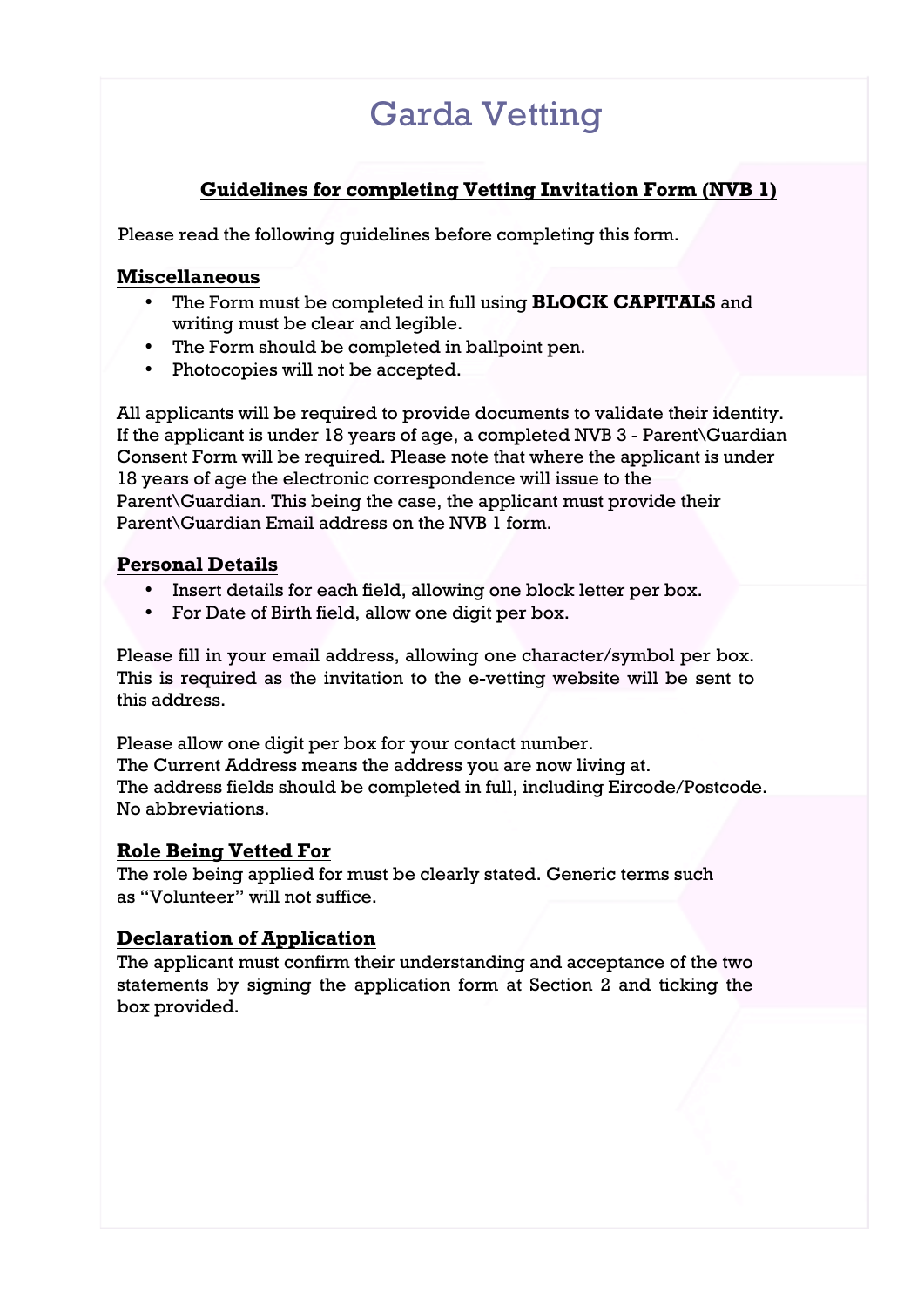# Garda Vetting

## **Guidelines for completing Vetting Invitation Form (NVB 1)**

Please read the following guidelines before completing this form.

#### **Miscellaneous**

- The Form must be completed in full using **BLOCK CAPITALS** and writing must be clear and legible.
- The Form should be completed in ballpoint pen.
- Photocopies will not be accepted.

All applicants will be required to provide documents to validate their identity. If the applicant is under 18 years of age, a completed NVB 3 - Parent\Guardian Consent Form will be required. Please note that where the applicant is under 18 years of age the electronic correspondence will issue to the Parent\Guardian. This being the case, the applicant must provide their Parent\Guardian Email address on the NVB 1 form.

### **Personal Details**

- Insert details for each field, allowing one block letter per box.
- For Date of Birth field, allow one digit per box.

Please fill in your email address, allowing one character/symbol per box. This is required as the invitation to the e-vetting website will be sent to this address.

Please allow one digit per box for your contact number. The Current Address means the address you are now living at. The address fields should be completed in full, including Eircode/Postcode. No abbreviations.

#### **Role Being Vetted For**

The role being applied for must be clearly stated. Generic terms such as "Volunteer" will not suffice.

### **Declaration of Application**

The applicant must confirm their understanding and acceptance of the two statements by signing the application form at Section 2 and ticking the box provided.